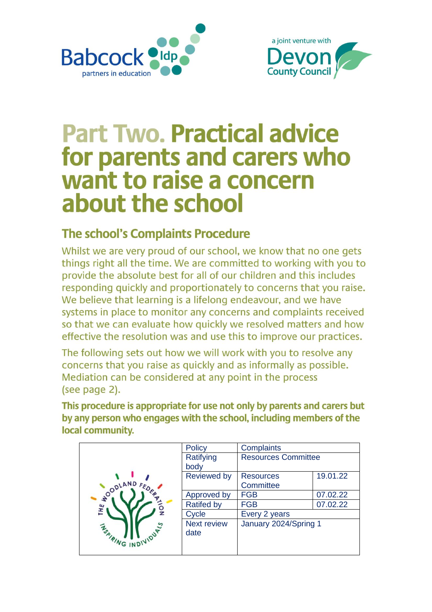



# **Part Two. Practical advice** for parents and carers who want to raise a concern about the school

### **The school's Complaints Procedure**

Whilst we are very proud of our school, we know that no one gets things right all the time. We are committed to working with you to provide the absolute best for all of our children and this includes responding quickly and proportionately to concerns that you raise. We believe that learning is a lifelong endeavour, and we have systems in place to monitor any concerns and complaints received so that we can evaluate how quickly we resolved matters and how effective the resolution was and use this to improve our practices.

The following sets out how we will work with you to resolve any concerns that you raise as quickly and as informally as possible. Mediation can be considered at any point in the process (see page 2).

This procedure is appropriate for use not only by parents and carers but by any person who engages with the school, including members of the local community.

| <b>DODLAND FEDER</b><br>THE | <b>Policy</b>      | <b>Complaints</b>          |          |
|-----------------------------|--------------------|----------------------------|----------|
|                             | Ratifying          | <b>Resources Committee</b> |          |
|                             | body               |                            |          |
|                             | <b>Reviewed by</b> | <b>Resources</b>           | 19.01.22 |
|                             |                    | Committee                  |          |
|                             | Approved by        | <b>FGB</b>                 | 07.02.22 |
|                             | <b>Ratifed by</b>  | <b>FGB</b>                 | 07.02.22 |
|                             | Cycle              | Every 2 years              |          |
|                             | Next review        | January 2024/Spring 1      |          |
| <b>WAING INDIVIDUAL</b>     | date               |                            |          |
|                             |                    |                            |          |
|                             |                    |                            |          |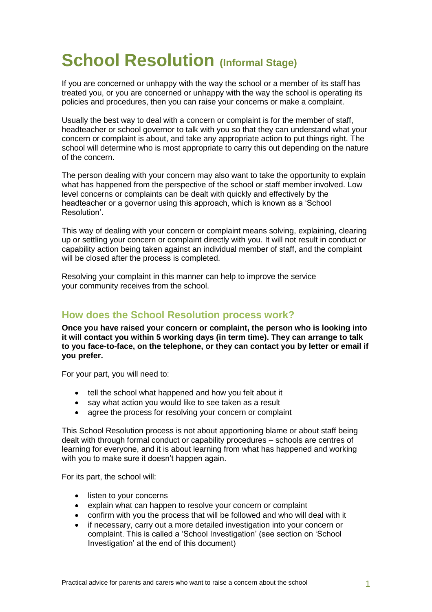# **School Resolution (Informal Stage)**

If you are concerned or unhappy with the way the school or a member of its staff has treated you, or you are concerned or unhappy with the way the school is operating its policies and procedures, then you can raise your concerns or make a complaint.

Usually the best way to deal with a concern or complaint is for the member of staff, headteacher or school governor to talk with you so that they can understand what your concern or complaint is about, and take any appropriate action to put things right. The school will determine who is most appropriate to carry this out depending on the nature of the concern.

The person dealing with your concern may also want to take the opportunity to explain what has happened from the perspective of the school or staff member involved. Low level concerns or complaints can be dealt with quickly and effectively by the headteacher or a governor using this approach, which is known as a 'School Resolution'.

This way of dealing with your concern or complaint means solving, explaining, clearing up or settling your concern or complaint directly with you. It will not result in conduct or capability action being taken against an individual member of staff, and the complaint will be closed after the process is completed.

Resolving your complaint in this manner can help to improve the service your community receives from the school.

### **How does the School Resolution process work?**

**Once you have raised your concern or complaint, the person who is looking into it will contact you within 5 working days (in term time). They can arrange to talk to you face-to-face, on the telephone, or they can contact you by letter or email if you prefer.**

For your part, you will need to:

- tell the school what happened and how you felt about it
- say what action you would like to see taken as a result
- agree the process for resolving your concern or complaint

This School Resolution process is not about apportioning blame or about staff being dealt with through formal conduct or capability procedures – schools are centres of learning for everyone, and it is about learning from what has happened and working with you to make sure it doesn't happen again.

For its part, the school will:

- listen to your concerns
- explain what can happen to resolve your concern or complaint
- confirm with you the process that will be followed and who will deal with it
- if necessary, carry out a more detailed investigation into your concern or complaint. This is called a 'School Investigation' (see section on 'School Investigation' at the end of this document)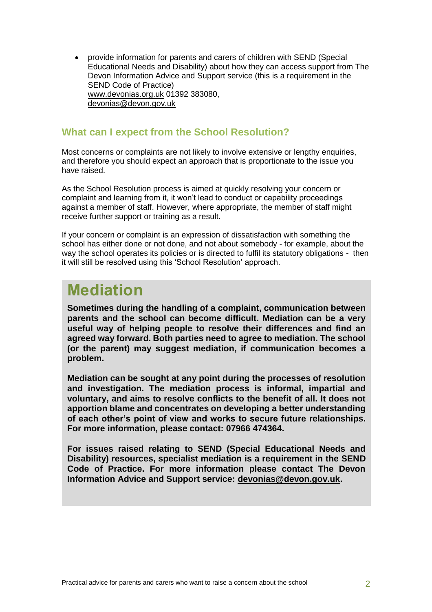provide information for parents and carers of children with SEND (Special Educational Needs and Disability) about how they can access support from The Devon Information Advice and Support service (this is a requirement in the SEND Code of Practice) [www.devonias.org.uk](http://www.devonias.org.uk/) 01392 383080, [devonias@devon.gov.uk](mailto:devonias@devon.gov.uk)

#### **What can I expect from the School Resolution?**

Most concerns or complaints are not likely to involve extensive or lengthy enquiries, and therefore you should expect an approach that is proportionate to the issue you have raised.

As the School Resolution process is aimed at quickly resolving your concern or complaint and learning from it, it won't lead to conduct or capability proceedings against a member of staff. However, where appropriate, the member of staff might receive further support or training as a result.

If your concern or complaint is an expression of dissatisfaction with something the school has either done or not done, and not about somebody - for example, about the way the school operates its policies or is directed to fulfil its statutory obligations - then it will still be resolved using this 'School Resolution' approach.

### **Mediation**

**Sometimes during the handling of a complaint, communication between parents and the school can become difficult. Mediation can be a very useful way of helping people to resolve their differences and find an agreed way forward. Both parties need to agree to mediation. The school (or the parent) may suggest mediation, if communication becomes a problem.**

**Mediation can be sought at any point during the processes of resolution and investigation. The mediation process is informal, impartial and voluntary, and aims to resolve conflicts to the benefit of all. It does not apportion blame and concentrates on developing a better understanding of each other's point of view and works to secure future relationships. For more information, please contact: 07966 474364.**

**For issues raised relating to SEND (Special Educational Needs and Disability) resources, specialist mediation is a requirement in the SEND Code of Practice. For more information please contact The Devon Information Advice and Support service: [devonias@devon.gov.uk.](mailto:devonias@devon.gov.uk)**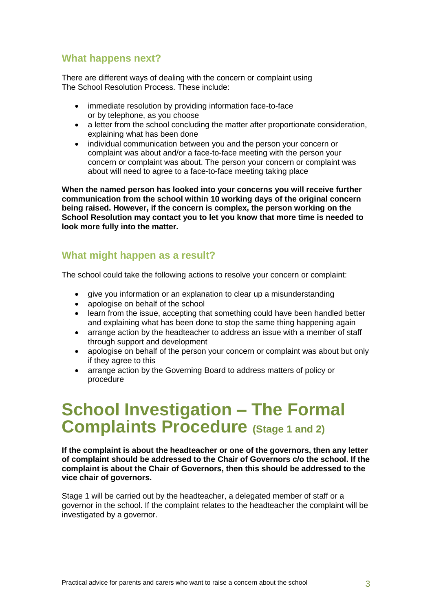### **What happens next?**

There are different ways of dealing with the concern or complaint using The School Resolution Process. These include:

- immediate resolution by providing information face-to-face or by telephone, as you choose
- a letter from the school concluding the matter after proportionate consideration, explaining what has been done
- individual communication between you and the person your concern or complaint was about and/or a face-to-face meeting with the person your concern or complaint was about. The person your concern or complaint was about will need to agree to a face-to-face meeting taking place

**When the named person has looked into your concerns you will receive further communication from the school within 10 working days of the original concern being raised. However, if the concern is complex, the person working on the School Resolution may contact you to let you know that more time is needed to look more fully into the matter.**

#### **What might happen as a result?**

The school could take the following actions to resolve your concern or complaint:

- give you information or an explanation to clear up a misunderstanding
- apologise on behalf of the school
- learn from the issue, accepting that something could have been handled better and explaining what has been done to stop the same thing happening again
- arrange action by the headteacher to address an issue with a member of staff through support and development
- apologise on behalf of the person your concern or complaint was about but only if they agree to this
- arrange action by the Governing Board to address matters of policy or procedure

### **School Investigation – The Formal Complaints Procedure (Stage 1 and 2)**

**If the complaint is about the headteacher or one of the governors, then any letter of complaint should be addressed to the Chair of Governors c/o the school. If the complaint is about the Chair of Governors, then this should be addressed to the vice chair of governors.**

Stage 1 will be carried out by the headteacher, a delegated member of staff or a governor in the school. If the complaint relates to the headteacher the complaint will be investigated by a governor.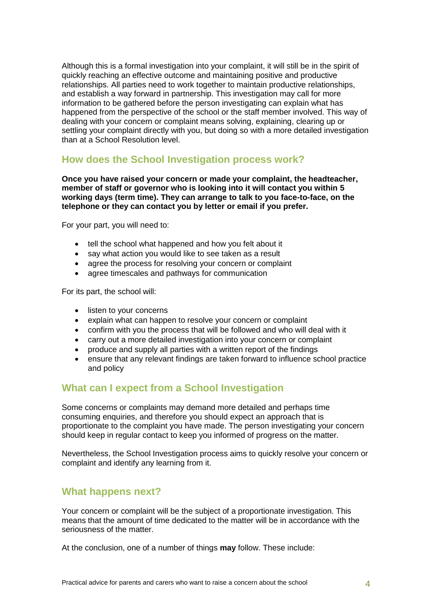Although this is a formal investigation into your complaint, it will still be in the spirit of quickly reaching an effective outcome and maintaining positive and productive relationships. All parties need to work together to maintain productive relationships, and establish a way forward in partnership. This investigation may call for more information to be gathered before the person investigating can explain what has happened from the perspective of the school or the staff member involved. This way of dealing with your concern or complaint means solving, explaining, clearing up or settling your complaint directly with you, but doing so with a more detailed investigation than at a School Resolution level.

### **How does the School Investigation process work?**

**Once you have raised your concern or made your complaint, the headteacher, member of staff or governor who is looking into it will contact you within 5 working days (term time). They can arrange to talk to you face-to-face, on the telephone or they can contact you by letter or email if you prefer.**

For your part, you will need to:

- tell the school what happened and how you felt about it
- say what action you would like to see taken as a result
- agree the process for resolving your concern or complaint
- agree timescales and pathways for communication

For its part, the school will:

- listen to your concerns
- explain what can happen to resolve your concern or complaint
- confirm with you the process that will be followed and who will deal with it
- carry out a more detailed investigation into your concern or complaint
- produce and supply all parties with a written report of the findings
- ensure that any relevant findings are taken forward to influence school practice and policy

### **What can I expect from a School Investigation**

Some concerns or complaints may demand more detailed and perhaps time consuming enquiries, and therefore you should expect an approach that is proportionate to the complaint you have made. The person investigating your concern should keep in regular contact to keep you informed of progress on the matter.

Nevertheless, the School Investigation process aims to quickly resolve your concern or complaint and identify any learning from it.

### **What happens next?**

Your concern or complaint will be the subject of a proportionate investigation. This means that the amount of time dedicated to the matter will be in accordance with the seriousness of the matter.

At the conclusion, one of a number of things **may** follow. These include: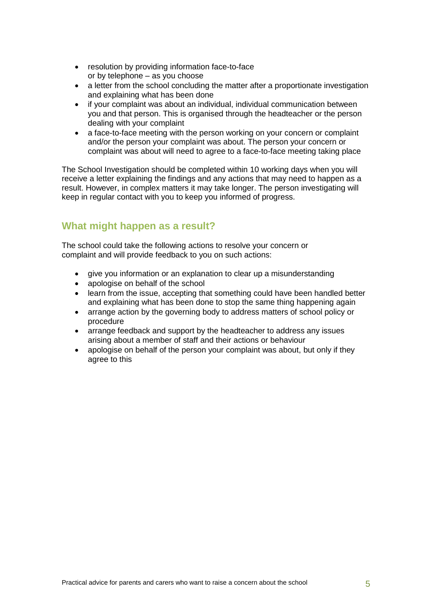- resolution by providing information face-to-face or by telephone – as you choose
- a letter from the school concluding the matter after a proportionate investigation and explaining what has been done
- if your complaint was about an individual, individual communication between you and that person. This is organised through the headteacher or the person dealing with your complaint
- a face-to-face meeting with the person working on your concern or complaint and/or the person your complaint was about. The person your concern or complaint was about will need to agree to a face-to-face meeting taking place

The School Investigation should be completed within 10 working days when you will receive a letter explaining the findings and any actions that may need to happen as a result. However, in complex matters it may take longer. The person investigating will keep in regular contact with you to keep you informed of progress.

### **What might happen as a result?**

The school could take the following actions to resolve your concern or complaint and will provide feedback to you on such actions:

- give you information or an explanation to clear up a misunderstanding
- apologise on behalf of the school
- learn from the issue, accepting that something could have been handled better and explaining what has been done to stop the same thing happening again
- arrange action by the governing body to address matters of school policy or procedure
- arrange feedback and support by the headteacher to address any issues arising about a member of staff and their actions or behaviour
- apologise on behalf of the person your complaint was about, but only if they agree to this